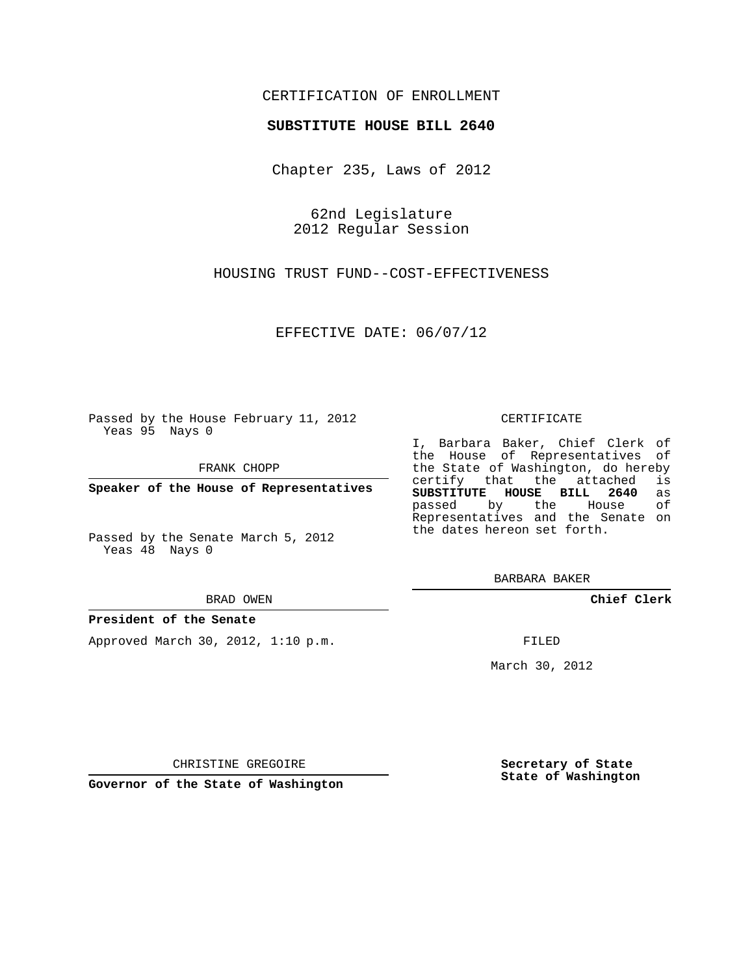## CERTIFICATION OF ENROLLMENT

### **SUBSTITUTE HOUSE BILL 2640**

Chapter 235, Laws of 2012

62nd Legislature 2012 Regular Session

HOUSING TRUST FUND--COST-EFFECTIVENESS

EFFECTIVE DATE: 06/07/12

Passed by the House February 11, 2012 Yeas 95 Nays 0

FRANK CHOPP

**Speaker of the House of Representatives**

Passed by the Senate March 5, 2012 Yeas 48 Nays 0

#### BRAD OWEN

### **President of the Senate**

Approved March 30, 2012, 1:10 p.m.

#### CERTIFICATE

I, Barbara Baker, Chief Clerk of the House of Representatives of the State of Washington, do hereby<br>certify that the attached is certify that the attached **SUBSTITUTE HOUSE BILL 2640** as passed by the Representatives and the Senate on the dates hereon set forth.

BARBARA BAKER

**Chief Clerk**

FILED

March 30, 2012

**Secretary of State State of Washington**

CHRISTINE GREGOIRE

**Governor of the State of Washington**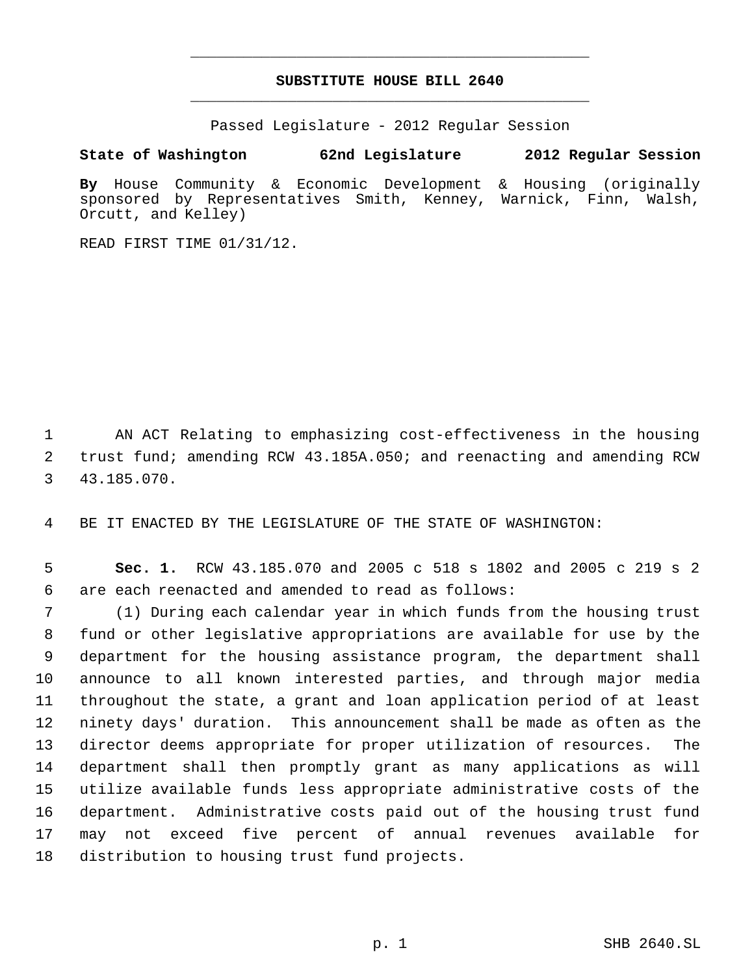# **SUBSTITUTE HOUSE BILL 2640** \_\_\_\_\_\_\_\_\_\_\_\_\_\_\_\_\_\_\_\_\_\_\_\_\_\_\_\_\_\_\_\_\_\_\_\_\_\_\_\_\_\_\_\_\_

\_\_\_\_\_\_\_\_\_\_\_\_\_\_\_\_\_\_\_\_\_\_\_\_\_\_\_\_\_\_\_\_\_\_\_\_\_\_\_\_\_\_\_\_\_

Passed Legislature - 2012 Regular Session

## **State of Washington 62nd Legislature 2012 Regular Session**

**By** House Community & Economic Development & Housing (originally sponsored by Representatives Smith, Kenney, Warnick, Finn, Walsh, Orcutt, and Kelley)

READ FIRST TIME 01/31/12.

 AN ACT Relating to emphasizing cost-effectiveness in the housing trust fund; amending RCW 43.185A.050; and reenacting and amending RCW 43.185.070.

BE IT ENACTED BY THE LEGISLATURE OF THE STATE OF WASHINGTON:

 **Sec. 1.** RCW 43.185.070 and 2005 c 518 s 1802 and 2005 c 219 s 2 are each reenacted and amended to read as follows:

 (1) During each calendar year in which funds from the housing trust fund or other legislative appropriations are available for use by the department for the housing assistance program, the department shall announce to all known interested parties, and through major media throughout the state, a grant and loan application period of at least ninety days' duration. This announcement shall be made as often as the director deems appropriate for proper utilization of resources. The department shall then promptly grant as many applications as will utilize available funds less appropriate administrative costs of the department. Administrative costs paid out of the housing trust fund may not exceed five percent of annual revenues available for distribution to housing trust fund projects.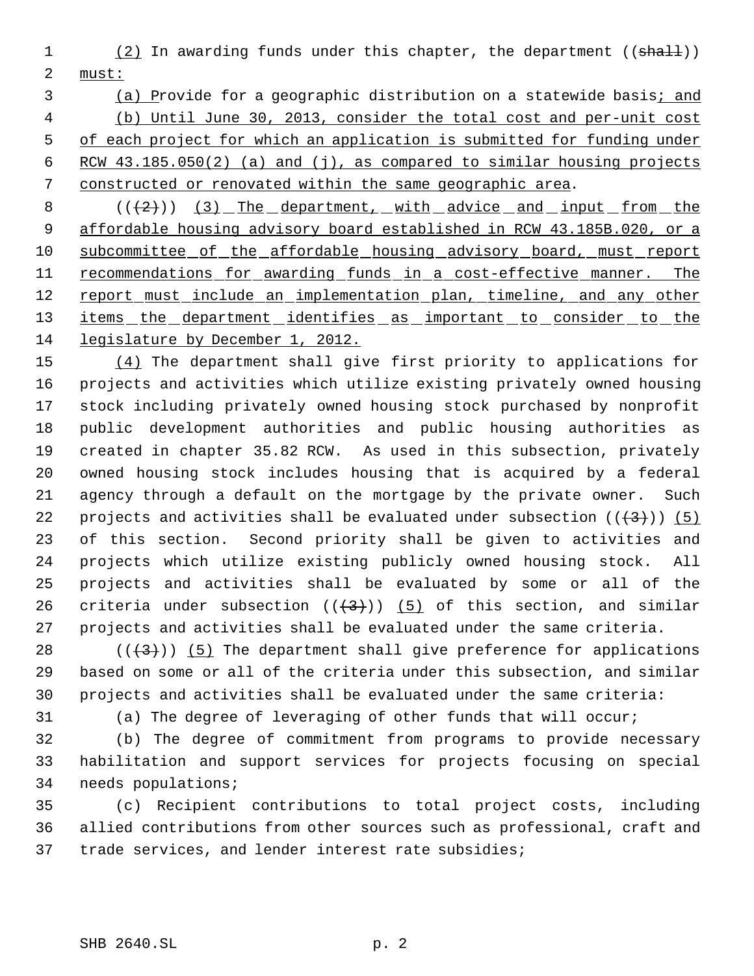1 (2) In awarding funds under this chapter, the department ((shall)) must:

3 (a) Provide for a geographic distribution on a statewide basis; and (b) Until June 30, 2013, consider the total cost and per-unit cost of each project for which an application is submitted for funding under RCW 43.185.050(2) (a) and (j), as compared to similar housing projects constructed or renovated within the same geographic area.

8  $((+2))$   $(3)$  The department, with advice and input from the affordable housing advisory board established in RCW 43.185B.020, or a 10 subcommittee of the affordable housing advisory board, must report 11 recommendations for awarding funds in a cost-effective manner. The 12 report must include an implementation plan, timeline, and any other 13 items the department identifies as important to consider to the legislature by December 1, 2012.

 (4) The department shall give first priority to applications for projects and activities which utilize existing privately owned housing stock including privately owned housing stock purchased by nonprofit public development authorities and public housing authorities as created in chapter 35.82 RCW. As used in this subsection, privately owned housing stock includes housing that is acquired by a federal agency through a default on the mortgage by the private owner. Such 22 projects and activities shall be evaluated under subsection  $((+3+))$  (5) of this section. Second priority shall be given to activities and projects which utilize existing publicly owned housing stock. All projects and activities shall be evaluated by some or all of the 26 criteria under subsection  $((+3)^2)$  (5) of this section, and similar projects and activities shall be evaluated under the same criteria.

28  $((+3))$  (5) The department shall give preference for applications based on some or all of the criteria under this subsection, and similar projects and activities shall be evaluated under the same criteria:

(a) The degree of leveraging of other funds that will occur;

 (b) The degree of commitment from programs to provide necessary habilitation and support services for projects focusing on special needs populations;

 (c) Recipient contributions to total project costs, including allied contributions from other sources such as professional, craft and trade services, and lender interest rate subsidies;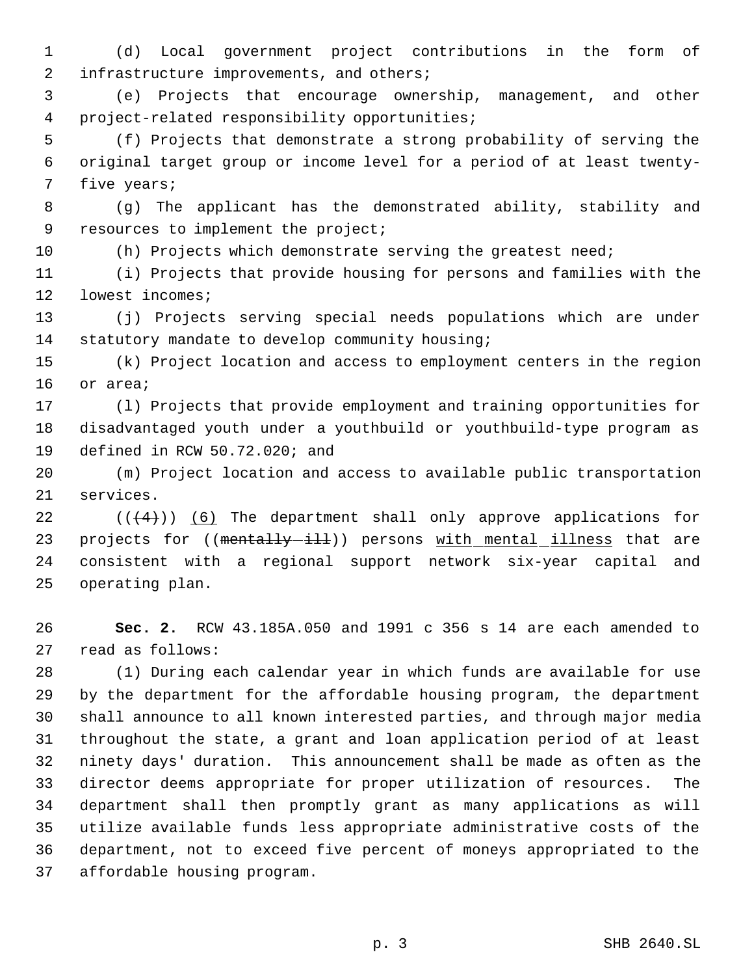(d) Local government project contributions in the form of 2 infrastructure improvements, and others;

 (e) Projects that encourage ownership, management, and other project-related responsibility opportunities;

 (f) Projects that demonstrate a strong probability of serving the original target group or income level for a period of at least twenty- five years;

 (g) The applicant has the demonstrated ability, stability and 9 resources to implement the project;

(h) Projects which demonstrate serving the greatest need;

 (i) Projects that provide housing for persons and families with the lowest incomes;

 (j) Projects serving special needs populations which are under 14 statutory mandate to develop community housing;

 (k) Project location and access to employment centers in the region or area;

 (l) Projects that provide employment and training opportunities for disadvantaged youth under a youthbuild or youthbuild-type program as defined in RCW 50.72.020; and

 (m) Project location and access to available public transportation services.

 $((+4))$   $(6)$  The department shall only approve applications for 23 projects for ((mentally-ill)) persons with mental illness that are consistent with a regional support network six-year capital and operating plan.

 **Sec. 2.** RCW 43.185A.050 and 1991 c 356 s 14 are each amended to read as follows:

 (1) During each calendar year in which funds are available for use by the department for the affordable housing program, the department shall announce to all known interested parties, and through major media throughout the state, a grant and loan application period of at least ninety days' duration. This announcement shall be made as often as the director deems appropriate for proper utilization of resources. The department shall then promptly grant as many applications as will utilize available funds less appropriate administrative costs of the department, not to exceed five percent of moneys appropriated to the affordable housing program.